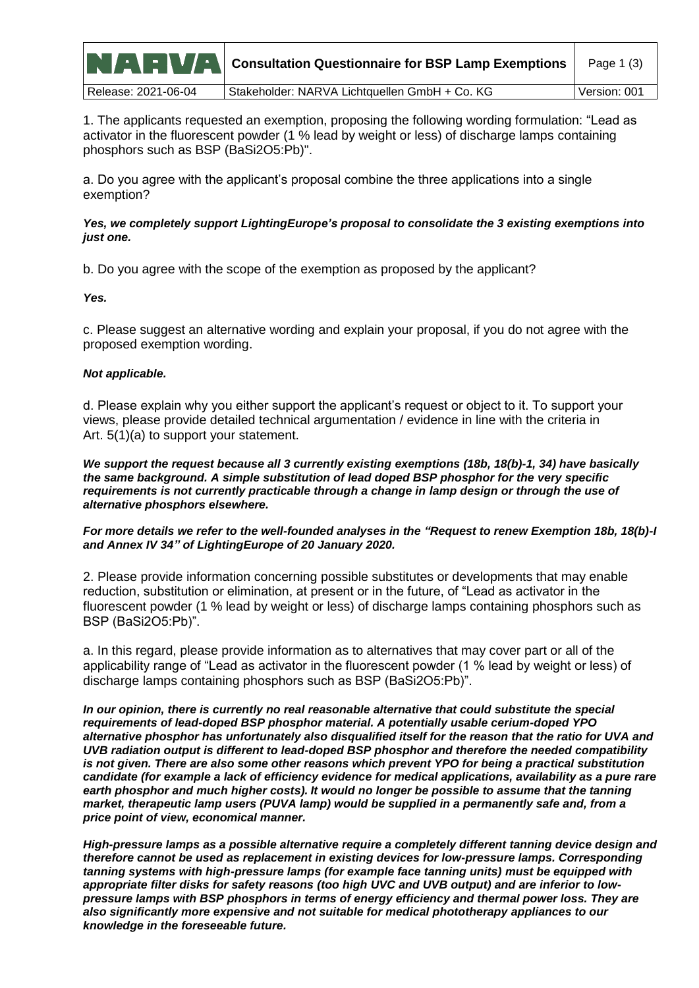|                     | <b>NAMER WARE Consultation Questionnaire for BSP Lamp Exemptions</b> | Page $1(3)$  |
|---------------------|----------------------------------------------------------------------|--------------|
| Release: 2021-06-04 | Stakeholder: NARVA Lichtquellen GmbH + Co. KG                        | Version: 001 |

1. The applicants requested an exemption, proposing the following wording formulation: "Lead as activator in the fluorescent powder (1 % lead by weight or less) of discharge lamps containing phosphors such as BSP (BaSi2O5:Pb)".

a. Do you agree with the applicant's proposal combine the three applications into a single exemption?

*Yes, we completely support LightingEurope's proposal to consolidate the 3 existing exemptions into just one.*

b. Do you agree with the scope of the exemption as proposed by the applicant?

*Yes.*

c. Please suggest an alternative wording and explain your proposal, if you do not agree with the proposed exemption wording.

## *Not applicable.*

d. Please explain why you either support the applicant's request or object to it. To support your views, please provide detailed technical argumentation / evidence in line with the criteria in Art. 5(1)(a) to support your statement.

*We support the request because all 3 currently existing exemptions (18b, 18(b)-1, 34) have basically the same background. A simple substitution of lead doped BSP phosphor for the very specific requirements is not currently practicable through a change in lamp design or through the use of alternative phosphors elsewhere.* 

*For more details we refer to the well-founded analyses in the "Request to renew Exemption 18b, 18(b)-I and Annex IV 34" of LightingEurope of 20 January 2020.*

2. Please provide information concerning possible substitutes or developments that may enable reduction, substitution or elimination, at present or in the future, of "Lead as activator in the fluorescent powder (1 % lead by weight or less) of discharge lamps containing phosphors such as BSP (BaSi2O5:Pb)".

a. In this regard, please provide information as to alternatives that may cover part or all of the applicability range of "Lead as activator in the fluorescent powder (1 % lead by weight or less) of discharge lamps containing phosphors such as BSP (BaSi2O5:Pb)".

*In our opinion, there is currently no real reasonable alternative that could substitute the special requirements of lead-doped BSP phosphor material. A potentially usable cerium-doped YPO alternative phosphor has unfortunately also disqualified itself for the reason that the ratio for UVA and UVB radiation output is different to lead-doped BSP phosphor and therefore the needed compatibility is not given. There are also some other reasons which prevent YPO for being a practical substitution candidate (for example a lack of efficiency evidence for medical applications, availability as a pure rare earth phosphor and much higher costs). It would no longer be possible to assume that the tanning market, therapeutic lamp users (PUVA lamp) would be supplied in a permanently safe and, from a price point of view, economical manner.*

*High-pressure lamps as a possible alternative require a completely different tanning device design and therefore cannot be used as replacement in existing devices for low-pressure lamps. Corresponding tanning systems with high-pressure lamps (for example face tanning units) must be equipped with appropriate filter disks for safety reasons (too high UVC and UVB output) and are inferior to lowpressure lamps with BSP phosphors in terms of energy efficiency and thermal power loss. They are also significantly more expensive and not suitable for medical phototherapy appliances to our knowledge in the foreseeable future.*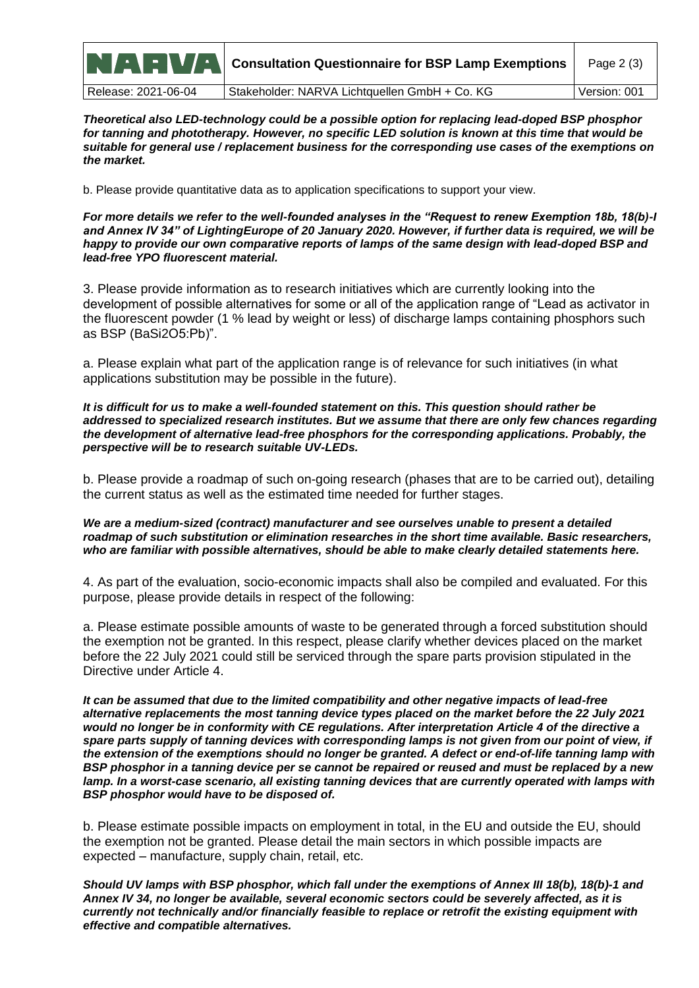|                     | <b>NAMER MAN</b> Consultation Questionnaire for BSP Lamp Exemptions | Page 2 (3)   |
|---------------------|---------------------------------------------------------------------|--------------|
| Release: 2021-06-04 | Stakeholder: NARVA Lichtquellen GmbH + Co. KG                       | Version: 001 |

*Theoretical also LED-technology could be a possible option for replacing lead-doped BSP phosphor for tanning and phototherapy. However, no specific LED solution is known at this time that would be suitable for general use / replacement business for the corresponding use cases of the exemptions on the market.*

b. Please provide quantitative data as to application specifications to support your view.

*For more details we refer to the well-founded analyses in the "Request to renew Exemption 18b, 18(b)-I and Annex IV 34" of LightingEurope of 20 January 2020. However, if further data is required, we will be happy to provide our own comparative reports of lamps of the same design with lead-doped BSP and lead-free YPO fluorescent material.*

3. Please provide information as to research initiatives which are currently looking into the development of possible alternatives for some or all of the application range of "Lead as activator in the fluorescent powder (1 % lead by weight or less) of discharge lamps containing phosphors such as BSP (BaSi2O5:Pb)".

a. Please explain what part of the application range is of relevance for such initiatives (in what applications substitution may be possible in the future).

*It is difficult for us to make a well-founded statement on this. This question should rather be addressed to specialized research institutes. But we assume that there are only few chances regarding the development of alternative lead-free phosphors for the corresponding applications. Probably, the perspective will be to research suitable UV-LEDs.*

b. Please provide a roadmap of such on-going research (phases that are to be carried out), detailing the current status as well as the estimated time needed for further stages.

*We are a medium-sized (contract) manufacturer and see ourselves unable to present a detailed roadmap of such substitution or elimination researches in the short time available. Basic researchers, who are familiar with possible alternatives, should be able to make clearly detailed statements here.*

4. As part of the evaluation, socio-economic impacts shall also be compiled and evaluated. For this purpose, please provide details in respect of the following:

a. Please estimate possible amounts of waste to be generated through a forced substitution should the exemption not be granted. In this respect, please clarify whether devices placed on the market before the 22 July 2021 could still be serviced through the spare parts provision stipulated in the Directive under Article 4.

*It can be assumed that due to the limited compatibility and other negative impacts of lead-free alternative replacements the most tanning device types placed on the market before the 22 July 2021 would no longer be in conformity with CE regulations. After interpretation Article 4 of the directive a*  spare parts supply of tanning devices with corresponding lamps is not given from our point of view, if *the extension of the exemptions should no longer be granted. A defect or end-of-life tanning lamp with BSP phosphor in a tanning device per se cannot be repaired or reused and must be replaced by a new lamp. In a worst-case scenario, all existing tanning devices that are currently operated with lamps with BSP phosphor would have to be disposed of.*

b. Please estimate possible impacts on employment in total, in the EU and outside the EU, should the exemption not be granted. Please detail the main sectors in which possible impacts are expected – manufacture, supply chain, retail, etc.

*Should UV lamps with BSP phosphor, which fall under the exemptions of Annex III 18(b), 18(b)-1 and Annex IV 34, no longer be available, several economic sectors could be severely affected, as it is currently not technically and/or financially feasible to replace or retrofit the existing equipment with effective and compatible alternatives.*